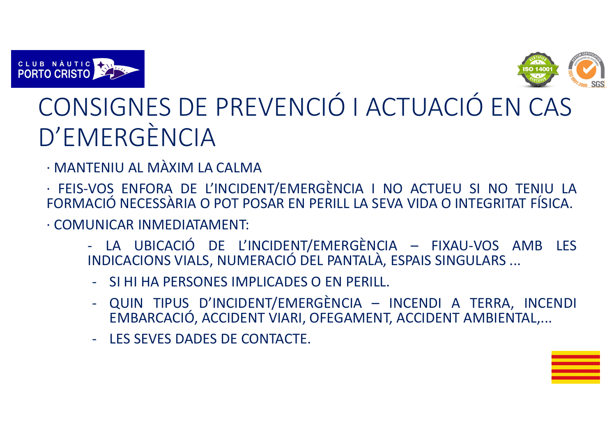



## CONSIGNES DE PREVENCIÓ I ACTUACIÓ EN CAS D'EMERGÈNCIA

- . NAANTENII I AL NAAYINA I MANTENIU AL MÀXIM LA CALMA
- · FEIS-VOS ENFORA DE L'INCIDENT/EMERGÈNCIA <sup>I</sup> NO ACTUEU SI NOFORMACIÓ NECESSÀRIA O POT POSAR EN PERILL LA SEVA VIDA O INTEGRITAT FÍSICA.
- · COMUNICAR INMEDIATAMENT:
	- LA UBICACIÓ DE L'INCIDENT/EMERGÈNCIA FIXAU-VOS AMB LES INDICACIONS VIALS, NUMERACIÓ DEL PANTALÀ, ESPAIS SINGULARS ...
	- SI HI HA PERSONES IMPLICADES <sup>O</sup> EN PERILL.
	- QUIN TIPUS D'INCIDENT/EMERGÈNCIA INCENDI A TERRA, INCENDI EMBARCACIÓ, ACCIDENT VIARI, OFEGAMENT, ACCIDENT AMBIENTAL,...
	- LES SEVES DADES DE CONTACTE.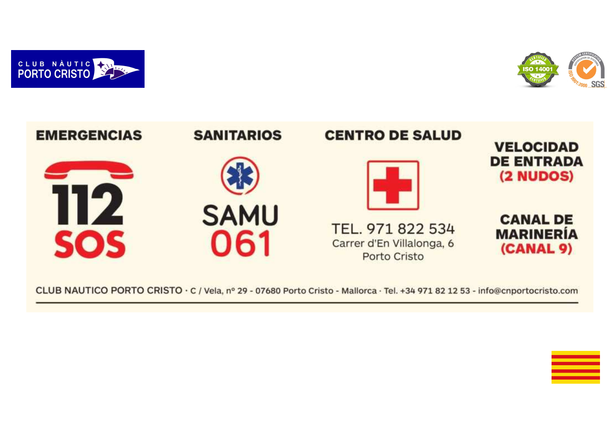





CLUB NAUTICO PORTO CRISTO · C / Vela, nº 29 - 07680 Porto Cristo - Mallorca · Tel. +34 971 82 12 53 - info@cnportocristo.com

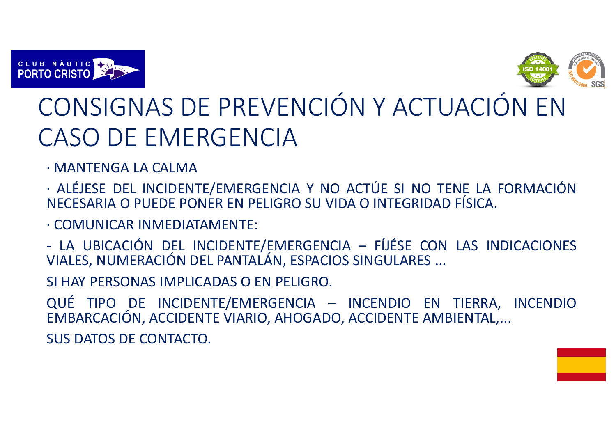



## CONSIGNAS DE PREVENCIÓN Y ACTUACIÓN EN CASO DE EMERGENCIA

· MANTENGA LA CALMA

·ALÉJESE DEL INCIDENTE/EMERGENCIA Y NO ACTÚE SI NO TENE LA FORMACIÓN NECESARIA <sup>O</sup> PUEDE PONER EN PELIGRO SU VIDA <sup>O</sup> INTEGRIDAD FÍSICA.

· COMUNICAR INMEDIATAMENTE:

-- LA UBICACIÓN DEL INCIDENTE/EMERGENCIA — FÍJÉSE CON LAS INDICACIONES<br>VIALES, NUMERACIÓN DEL PANTALÁN, ESPACIOS SINGULARES ...

SI HAY PERSONAS IMPLICADAS <sup>O</sup> EN PELIGRO.

QUÉ TIPO DE INCIDENTE/EMERGENCIA – INCENDIO EN TIERRA, INCENDIOEMBARCACIÓN, ACCIDENTE VIARIO, AHOGADO, ACCIDENTE AMBIENTAL,...

SUS DATOS DE CONTACTO.

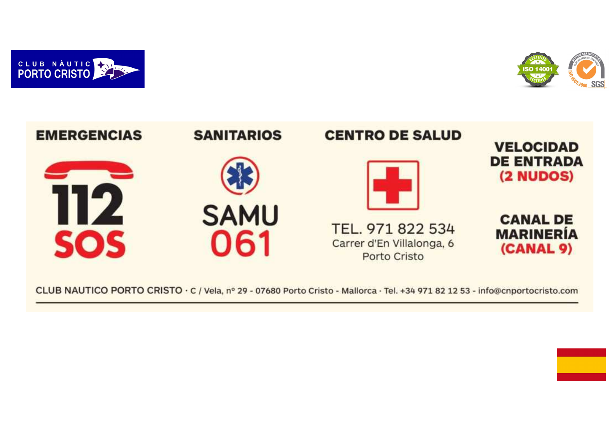





CLUB NAUTICO PORTO CRISTO · C / Vela, nº 29 - 07680 Porto Cristo - Mallorca · Tel. +34 971 82 12 53 - info@cnportocristo.com

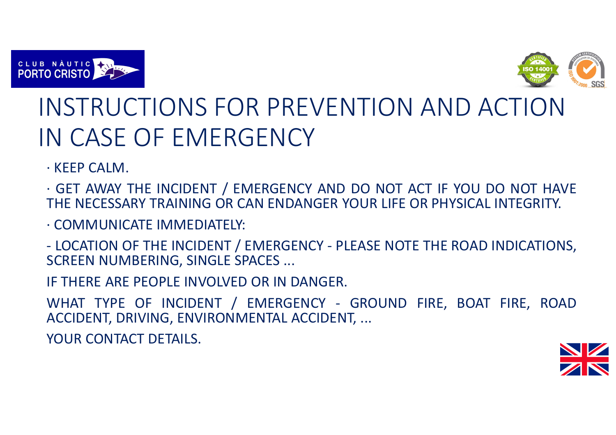



## INSTRUCTIONS FOR PREVENTION AND ACTION IN CASE OF EMERGENCY

· KEEP CALM.

· GET AWAY THE INCIDENT / EMERGENCY AND DO NOT ACT IF YOU DO NOT HAVE<br>THE NEGESSARY TRAINING OR GAN ENDANGER YOUR UFF OR RUYSIGAL INTEGRITY. THE NECESSARY TRAINING OR CAN ENDANGER YOUR LIFE OR PHYSICAL INTEGRITY.

· COMMUNICATE IMMEDIATELY:

- LOCATION OF THE INCIDENT / EMERGENCY - PLEASE NOTE THE ROAD INDICATIONS, SCREEN NUMBERING, SINGLE SPACES ...

IF THERE ARE PEOPLE INVOLVED OR IN DANGER.

WHAT TYPE OF INCIDENT / EMERGENCY - GROUND FIRE, BOAT FIRE, ROADACCIDENT, DRIVING, ENVIRONMENTAL ACCIDENT, ...

YOUR CONTACT DETAILS.